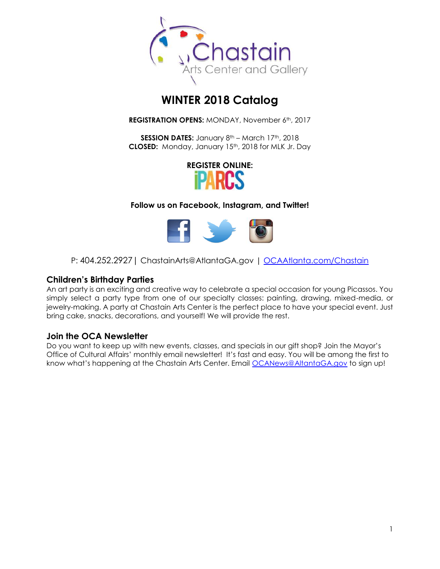

# **WINTER 2018 Catalog**

**REGISTRATION OPENS: MONDAY, November 6th, 2017** 

**SESSION DATES:** January 8<sup>th</sup> – March 17<sup>th</sup>, 2018 **CLOSED:** Monday, January 15<sup>th</sup>, 2018 for MLK Jr. Day



**Follow us on Facebook, Instagram, and Twitter!**



P: 404.252.2927 | ChastainArts@AtlantaGA.gov | [OCAAtlanta.com/Chastain](http://www.ocaatlanta.com/chastain/)

### **Children's Birthday Parties**

An art party is an exciting and creative way to celebrate a special occasion for young Picassos. You simply select a party type from one of our specialty classes: painting, drawing, mixed-media, or jewelry-making. A party at Chastain Arts Center is the perfect place to have your special event. Just bring cake, snacks, decorations, and yourself! We will provide the rest.

#### **Join the OCA Newsletter**

Do you want to keep up with new events, classes, and specials in our gift shop? Join the Mayor's Office of Cultural Affairs' monthly email newsletter! It's fast and easy. You will be among the first to know what's happening at the Chastain Arts Center. Email [OCANews@AltantaGA.gov](mailto:OCANews@AltantaGA.gov) to sign up!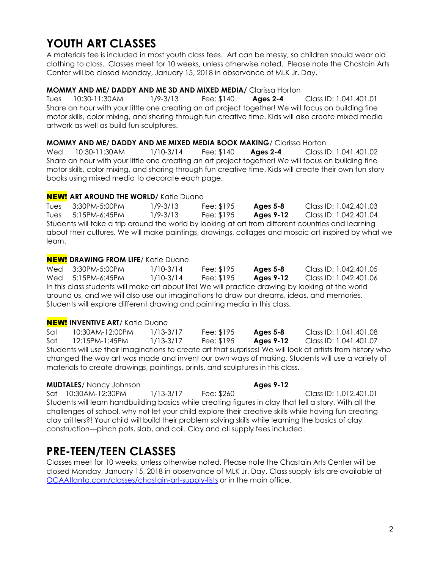# **YOUTH ART CLASSES**

A materials fee is included in most youth class fees. Art can be messy, so children should wear old clothing to class. Classes meet for 10 weeks, unless otherwise noted. Please note the Chastain Arts Center will be closed Monday, January 15, 2018 in observance of MLK Jr. Day.

#### **MOMMY AND ME/ DADDY AND ME 3D AND MIXED MEDIA/** Clarissa Horton

Tues 10:30-11:30AM 1/9-3/13 Fee: \$140 **Ages 2-4** Class ID: 1.041.401.01 Share an hour with your little one creating an art project together! We will focus on building fine motor skills, color mixing, and sharing through fun creative time. Kids will also create mixed media artwork as well as build fun sculptures.

#### **MOMMY AND ME/ DADDY AND ME MIXED MEDIA BOOK MAKING**/ Clarissa Horton

Wed 10:30-11:30AM 1/10-3/14 Fee: \$140 **Ages 2-4** Class ID: 1.041.401.02 Share an hour with your little one creating an art project together! We will focus on building fine motor skills, color mixing, and sharing through fun creative time. Kids will create their own fun story books using mixed media to decorate each page.

#### **NEW!** ART AROUND THE WORLD/ Katie Duane

Tues 3:30PM-5:00PM 1/9-3/13 Fee: \$195 **Ages 5-8** Class ID: 1.042.401.03 Tues 5:15PM-6:45PM 1/9-3/13 Fee: \$195 **Ages 9-12** Class ID: 1.042.401.04 Students will take a trip around the world by looking at art from different countries and learning about their cultures. We will make paintings, drawings, collages and mosaic art inspired by what we learn.

#### NEW! **DRAWING FROM LIFE**/ Katie Duane

Wed 3:30PM-5:00PM 1/10-3/14 Fee: \$195 **Ages 5-8** Class ID: 1.042.401.05 Wed 5:15PM-6:45PM 1/10-3/14 Fee: \$195 **Ages 9-12** Class ID: 1.042.401.06 In this class students will make art about life! We will practice drawing by looking at the world around us, and we will also use our imaginations to draw our dreams, ideas, and memories. Students will explore different drawing and painting media in this class.

#### NEW! **INVENTIVE ART**/ Katie Duane

Sat 10:30AM-12:00PM 1/13-3/17 Fee: \$195 **Ages 5-8** Class ID: 1.041.401.08 Sat 12:15PM-1:45PM 1/13-3/17 Fee: \$195 **Ages 9-12** Class ID: 1.041.401.07 Students will use their imaginations to create art that surprises! We will look at artists from history who changed the way art was made and invent our own ways of making. Students will use a variety of materials to create drawings, paintings, prints, and sculptures in this class.

#### **MUDTALES**/ Nancy Johnson **Ages 9-12 Ages 9-12**

Sat 10:30AM-12:30PM 1/13-3/17 Fee: \$260 Class ID: 1.012.401.01 Students will learn handbuilding basics while creating figures in clay that tell a story. With all the challenges of school, why not let your child explore their creative skills while having fun creating clay critters?! Your child will build their problem solving skills while learning the basics of clay construction—pinch pots, slab, and coil. Clay and all supply fees included.

# **PRE-TEEN/TEEN CLASSES**

Classes meet for 10 weeks, unless otherwise noted. Please note the Chastain Arts Center will be closed Monday, January 15, 2018 in observance of MLK Jr. Day. Class supply lists are available at [OCAAtlanta.com/classes/chastain-art-supply-lists](http://www.ocaatlanta.com/classes/chastain-art-supply-lists/) or in the main office.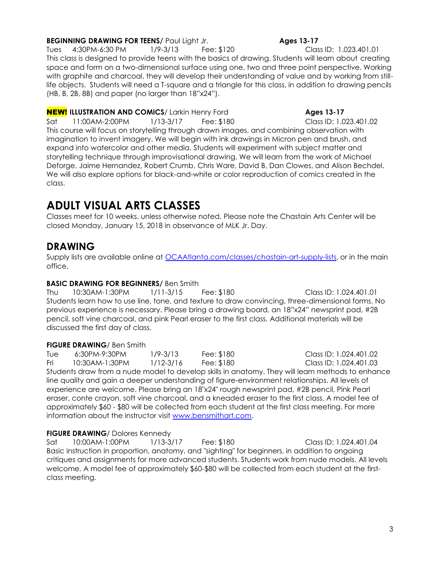#### **BEGINNING DRAWING FOR TEENS/** Paul Light Jr. **Ages 13-17**

Tues 4:30PM-6:30 PM 1/9-3/13 Fee: \$120 Class ID: 1.023.401.01 This class is designed to provide teens with the basics of drawing. Students will learn about creating space and form on a two-dimensional surface using one, two and three point perspective. Working with graphite and charcoal, they will develop their understanding of value and by working from stilllife objects. Students will need a T-square and a triangle for this class, in addition to drawing pencils (HB, B, 2B, 8B) and paper (no larger than 18"x24").

**NEW!** ILLUSTRATION AND COMICS/ Larkin Henry Ford **Ages 13-17 Ages 13-17** Sat 11:00AM-2:00PM 1/13-3/17 Fee: \$180 Class ID: 1.023.401.02 This course will focus on storytelling through drawn images, and combining observation with imagination to invent imagery. We will begin with ink drawings in Micron pen and brush, and expand into watercolor and other media. Students will experiment with subject matter and storytelling technique through improvisational drawing. We will learn from the work of Michael Deforge, Jaime Hernandez, Robert Crumb, Chris Ware, David B, Dan Clowes, and Alison Bechdel. We will also explore options for black-and-white or color reproduction of comics created in the class.

# **ADULT VISUAL ARTS CLASSES**

Classes meet for 10 weeks, unless otherwise noted. Please note the Chastain Arts Center will be closed Monday, January 15, 2018 in observance of MLK Jr. Day.

## **DRAWING**

Supply lists are available online at **OCAAtlanta.com/classes/chastain-art-supply-lists**, or in the main office.

#### **BASIC DRAWING FOR BEGINNERS/** Ben Smith

Thu 10:30AM-1:30PM 1/11-3/15 Fee: \$180 Class ID: 1.024.401.01 Students learn how to use line, tone, and texture to draw convincing, three-dimensional forms. No previous experience is necessary. Please bring a drawing board, an 18"x24" newsprint pad, #2B pencil, soft vine charcoal, and pink Pearl eraser to the first class. Additional materials will be discussed the first day of class.

#### **FIGURE DRAWING**/ Ben Smith

| Tue                                                                                               | 6:30PM-9:30PM  | $1/9 - 3/13$  | Fee: \$180 | Class ID: 1.024.401.02 |  |  |  |
|---------------------------------------------------------------------------------------------------|----------------|---------------|------------|------------------------|--|--|--|
| Fri                                                                                               | 10:30AM-1:30PM | $1/12 - 3/16$ | Fee: \$180 | Class ID: 1.024.401.03 |  |  |  |
| Students draw from a nude model to develop skills in anatomy. They will learn methods to enhance  |                |               |            |                        |  |  |  |
| line quality and gain a deeper understanding of figure-environment relationships. All levels of   |                |               |            |                        |  |  |  |
| experience are welcome. Please bring an 18"x24" rough newsprint pad, #2B pencil, Pink Pearl       |                |               |            |                        |  |  |  |
| eraser, conte crayon, soft vine charcoal, and a kneaded eraser to the first class. A model fee of |                |               |            |                        |  |  |  |
|                                                                                                   |                |               |            |                        |  |  |  |

approximately \$60 - \$80 will be collected from each student at the first class meeting. For more information about the instructor visit [www.bensmithart.com.](http://www.bensmithart.com/)

#### **FIGURE DRAWING**/ Dolores Kennedy

Sat 10:00AM-1:00PM 1/13-3/17 Fee: \$180 Class ID: 1.024.401.04 Basic instruction in proportion, anatomy, and "sighting" for beginners, in addition to ongoing critiques and assignments for more advanced students. Students work from nude models. All levels welcome. A model fee of approximately \$60-\$80 will be collected from each student at the firstclass meeting.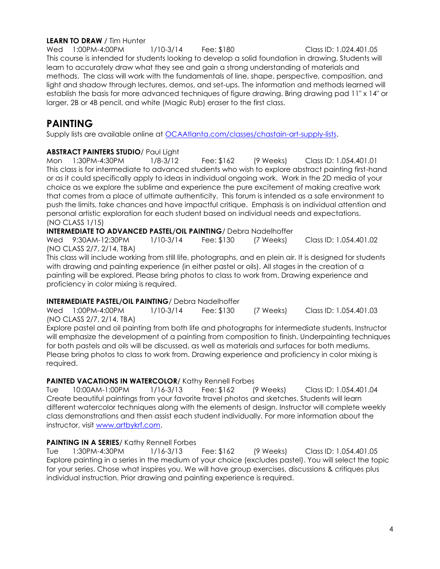#### **LEARN TO DRAW** / Tim Hunter

Wed 1:00PM-4:00PM 1/10-3/14 Fee: \$180 Class ID: 1.024.401.05 This course is intended for students looking to develop a solid foundation in drawing. Students will learn to accurately draw what they see and gain a strong understanding of materials and methods. The class will work with the fundamentals of line, shape, perspective, composition, and light and shadow through lectures, demos, and set-ups. The information and methods learned will establish the basis for more advanced techniques of figure drawing. Bring drawing pad 11" x 14" or larger, 2B or 4B pencil, and white (Magic Rub) eraser to the first class.

# **PAINTING**

Supply lists are available online at [OCAAtlanta.com/classes/chastain-art-supply-lists.](http://www.ocaatlanta.com/classes/chastain-art-supply-lists/)

#### **ABSTRACT PAINTERS STUDIO**/ Paul Light

Mon 1:30PM-4:30PM 1/8-3/12 Fee: \$162 (9 Weeks) Class ID: 1.054.401.01 This class is for intermediate to advanced students who wish to explore abstract painting first-hand or as it could specifically apply to ideas in individual ongoing work. Work in the 2D media of your choice as we explore the sublime and experience the pure excitement of making creative work that comes from a place of ultimate authenticity. This forum is intended as a safe environment to push the limits, take chances and have impactful critique. Emphasis is on individual attention and personal artistic exploration for each student based on individual needs and expectations. (NO CLASS 1/15)

**INTERMEDIATE TO ADVANCED PASTEL/OIL PAINTING**/ Debra Nadelhoffer

Wed 9:30AM-12:30PM 1/10-3/14 Fee: \$130 (7 Weeks) Class ID: 1.054.401.02 (NO CLASS 2/7, 2/14, TBA)

This class will include working from still life, photographs, and en plein air. It is designed for students with drawing and painting experience (in either pastel or oils). All stages in the creation of a painting will be explored. Please bring photos to class to work from. Drawing experience and proficiency in color mixing is required.

#### **INTERMEDIATE PASTEL/OIL PAINTING**/ Debra Nadelhoffer

Wed 1:00PM-4:00PM 1/10-3/14 Fee: \$130 (7 Weeks) Class ID: 1.054.401.03 (NO CLASS 2/7, 2/14, TBA)

Explore pastel and oil painting from both life and photographs for intermediate students. Instructor will emphasize the development of a painting from composition to finish. Underpainting techniques for both pastels and oils will be discussed, as well as materials and surfaces for both mediums. Please bring photos to class to work from. Drawing experience and proficiency in color mixing is required.

#### **PAINTED VACATIONS IN WATERCOLOR/ Kathy Rennell Forbes**

Tue 10:00AM-1:00PM 1/16-3/13 Fee: \$162 (9 Weeks) Class ID: 1.054.401.04 Create beautiful paintings from your favorite travel photos and sketches. Students will learn different watercolor techniques along with the elements of design. Instructor will complete weekly class demonstrations and then assist each student individually. For more information about the instructor, visit [www.artbykrf.com.](http://www.artbykrf.com/)

#### **PAINTING IN A SERIES/ Kathy Rennell Forbes**

Tue 1:30PM-4:30PM 1/16-3/13 Fee: \$162 (9 Weeks) Class ID: 1.054.401.05 Explore painting in a series in the medium of your choice (excludes pastel). You will select the topic for your series. Chose what inspires you. We will have group exercises, discussions & critiques plus individual instruction. Prior drawing and painting experience is required.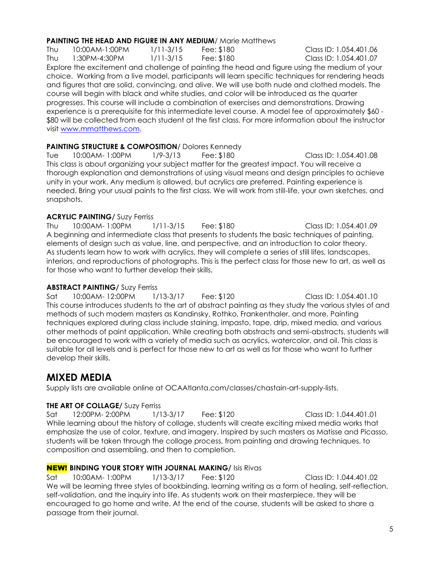#### **PAINTING THE HEAD AND FIGURE IN ANY MEDIUM/** Marie Matthews

Thu 10:00AM-1:00PM 1/11-3/15 Fee: \$180 Class ID: 1.054.401.06 Thu 1:30PM-4:30PM 1/11-3/15 Fee: \$180 Class ID: 1.054.401.07 Explore the excitement and challenge of painting the head and figure using the medium of your choice. Working from a live model, participants will learn specific techniques for rendering heads and figures that are solid, convincing, and alive. We will use both nude and clothed models. The course will begin with black and white studies, and color will be introduced as the quarter progresses. This course will include a combination of exercises and demonstrations. Drawing experience is a prerequisite for this intermediate level course. A model fee of approximately \$60 - \$80 will be collected from each student at the first class. For more information about the instructor visit [www.mmatthews.com.](http://www.mmatthews.com/)

#### **PAINTING STRUCTURE & COMPOSITION**/ Dolores Kennedy

Tue 10:00AM- 1:00PM 1/9-3/13 Fee: \$180 Class ID: 1.054.401.08 This class is about organizing your subject matter for the greatest impact. You will receive a thorough explanation and demonstrations of using visual means and design principles to achieve unity in your work. Any medium is allowed, but acrylics are preferred. Painting experience is needed. Bring your usual paints to the first class. We will work from still-life, your own sketches, and snapshots.

#### **ACRYLIC PAINTING/ Suzy Ferriss**

Thu 10:00AM- 1:00PM 1/11-3/15 Fee: \$180 Class ID: 1.054.401.09 A beginning and intermediate class that presents to students the basic techniques of painting, elements of design such as value, line, and perspective, and an introduction to color theory. As students learn how to work with acrylics, they will complete a series of still lifes, landscapes, interiors, and reproductions of photographs. This is the perfect class for those new to art, as well as for those who want to further develop their skills.

#### **ABSTRACT PAINTING/** Suzy Ferriss

Sat 10:00AM-12:00PM 1/13-3/17 Fee: \$120 Class ID: 1.054.401.10 This course introduces students to the art of abstract painting as they study the various styles of and methods of such modern masters as Kandinsky, Rothko, Frankenthaler, and more. Painting techniques explored during class include staining, impasto, tape, drip, mixed media, and various other methods of paint application. While creating both abstracts and semi-abstracts, students will be encouraged to work with a variety of media such as acrylics, watercolor, and oil. This class is suitable for all levels and is perfect for those new to art as well as for those who want to further develop their skills.

## **MIXED MEDIA**

Supply lists are available online at OCAAtlanta.com/classes/chastain-art-supply-lists.

#### **THE ART OF COLLAGE/** Suzy Ferriss

Sat 12:00PM-2:00PM 1/13-3/17 Fee: \$120 Class ID: 1.044.401.01 While learning about the history of collage, students will create exciting mixed media works that emphasize the use of color, texture, and imagery. Inspired by such masters as Matisse and Picasso, students will be taken through the collage process, from painting and drawing techniques, to composition and assembling, and then to completion.

#### NEW! **BINDING YOUR STORY WITH JOURNAL MAKING/** Isis Rivas

Sat 10:00AM- 1:00PM 1/13-3/17 Fee: \$120 Class ID: 1.044.401.02 We will be learning three styles of bookbinding, learning writing as a form of healing, self-reflection, self-validation, and the inquiry into life. As students work on their masterpiece, they will be encouraged to go home and write. At the end of the course, students will be asked to share a passage from their journal.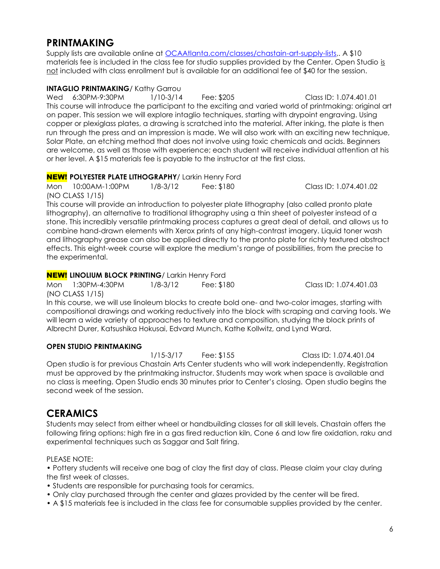# **PRINTMAKING**

Supply lists are available online at *OCAAtlanta.com/classes/chastain-art-supply-lists,.* A \$10 materials fee is included in the class fee for studio supplies provided by the Center. Open Studio is not included with class enrollment but is available for an additional fee of \$40 for the session.

#### **INTAGLIO PRINTMAKING/ Kathy Garrou**

Wed 6:30PM-9:30PM 1/10-3/14 Fee: \$205 Class ID: 1.074.401.01 This course will introduce the participant to the exciting and varied world of printmaking: original art on paper. This session we will explore intaglio techniques, starting with drypoint engraving. Using copper or plexiglass plates, a drawing is scratched into the material. After inking, the plate is then run through the press and an impression is made. We will also work with an exciting new technique, Solar Plate, an etching method that does not involve using toxic chemicals and acids. Beginners are welcome, as well as those with experience; each student will receive individual attention at his or her level. A \$15 materials fee is payable to the instructor at the first class.

#### **NEW! POLYESTER PLATE LITHOGRAPHY/ Larkin Henry Ford**

Mon 10:00AM-1:00PM 1/8-3/12 Fee: \$180 Class ID: 1.074.401.02 (NO CLASS 1/15)

This course will provide an introduction to polyester plate lithography (also called pronto plate lithography), an alternative to traditional lithography using a thin sheet of polyester instead of a stone. This incredibly versatile printmaking process captures a great deal of detail, and allows us to combine hand-drawn elements with Xerox prints of any high-contrast imagery. Liquid toner wash and lithography grease can also be applied directly to the pronto plate for richly textured abstract effects. This eight-week course will explore the medium's range of possibilities, from the precise to the experimental.

#### **NEW! LINOLIUM BLOCK PRINTING/ Larkin Henry Ford**

Mon 1:30PM-4:30PM 1/8-3/12 Fee: \$180 Class ID: 1.074.401.03 (NO CLASS 1/15)

In this course, we will use linoleum blocks to create bold one- and two-color images, starting with compositional drawings and working reductively into the block with scraping and carving tools. We will learn a wide variety of approaches to texture and composition, studying the block prints of Albrecht Durer, Katsushika Hokusai, Edvard Munch, Kathe Kollwitz, and Lynd Ward.

#### **OPEN STUDIO PRINTMAKING**

1/15-3/17 Fee: \$155 Class ID: 1.074.401.04 Open studio is for previous Chastain Arts Center students who will work independently. Registration must be approved by the printmaking instructor. Students may work when space is available and no class is meeting. Open Studio ends 30 minutes prior to Center's closing. Open studio begins the second week of the session.

# **CERAMICS**

Students may select from either wheel or handbuilding classes for all skill levels. Chastain offers the following firing options: high fire in a gas fired reduction kiln, Cone 6 and low fire oxidation, raku and experimental techniques such as Saggar and Salt firing.

#### PLEASE NOTE:

• Pottery students will receive one bag of clay the first day of class. Please claim your clay during the first week of classes.

- Students are responsible for purchasing tools for ceramics.
- Only clay purchased through the center and glazes provided by the center will be fired.
- A \$15 materials fee is included in the class fee for consumable supplies provided by the center.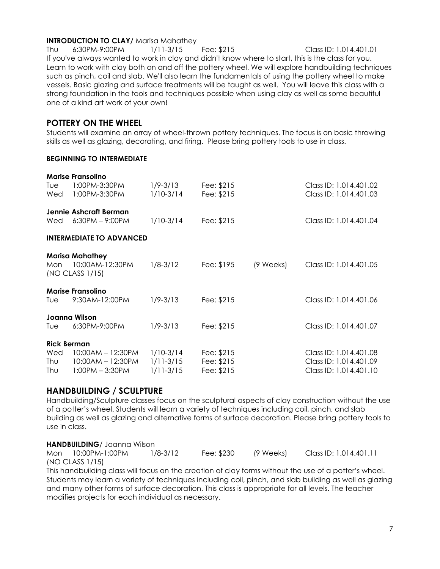#### **INTRODUCTION TO CLAY/ Marisa Mahathey**

Thu 6:30PM-9:00PM 1/11-3/15 Fee: \$215 Class ID: 1.014.401.01 If you've always wanted to work in clay and didn't know where to start, this is the class for you. Learn to work with clay both on and off the pottery wheel. We will explore handbuilding techniques such as pinch, coil and slab. We'll also learn the fundamentals of using the pottery wheel to make vessels. Basic glazing and surface treatments will be taught as well. You will leave this class with a strong foundation in the tools and techniques possible when using clay as well as some beautiful one of a kind art work of your own!

#### **POTTERY ON THE WHEEL**

Students will examine an array of wheel-thrown pottery techniques. The focus is on basic throwing skills as well as glazing, decorating, and firing. Please bring pottery tools to use in class.

#### **BEGINNING TO INTERMEDIATE**

|                                 | <b>Marise Fransolino</b>                                     |                                |                          |           |                                                  |  |  |  |
|---------------------------------|--------------------------------------------------------------|--------------------------------|--------------------------|-----------|--------------------------------------------------|--|--|--|
| Tue<br>Wed                      | 1:00PM-3:30PM<br>1:00PM-3:30PM                               | 1/9-3/13<br>$1/10-3/14$        | Fee: \$215<br>Fee: \$215 |           | Class ID: 1.014.401.02<br>Class ID: 1.014.401.03 |  |  |  |
|                                 |                                                              |                                |                          |           |                                                  |  |  |  |
| Wed                             | Jennie Ashcraft Berman<br>$6:30PM - 9:00PM$                  | $1/10-3/14$                    | Fee: \$215               |           | Class ID: 1.014.401.04                           |  |  |  |
|                                 |                                                              |                                |                          |           |                                                  |  |  |  |
| <b>INTERMEDIATE TO ADVANCED</b> |                                                              |                                |                          |           |                                                  |  |  |  |
| Mon                             | <b>Marisa Mahathey</b><br>10:00AM-12:30PM<br>(NO CLASS 1/15) | $1/8 - 3/12$                   | Fee: \$195               | (9 Weeks) | Class ID: 1.014.401.05                           |  |  |  |
| <b>Marise Fransolino</b>        |                                                              |                                |                          |           |                                                  |  |  |  |
| Tuel                            | 9:30AM-12:00PM                                               | $1/9 - 3/13$                   | Fee: \$215               |           | Class ID: 1.014.401.06                           |  |  |  |
| Joanna Wilson                   |                                                              |                                |                          |           |                                                  |  |  |  |
| Tuel                            | 6:30PM-9:00PM                                                | $1/9 - 3/13$                   | Fee: \$215               |           | Class ID: 1.014.401.07                           |  |  |  |
| <b>Rick Berman</b>              |                                                              |                                |                          |           |                                                  |  |  |  |
| Wed                             | $10:00AM - 12:30PM$                                          | $1/10-3/14$                    | Fee: \$215               |           | Class ID: 1.014.401.08                           |  |  |  |
| Thu<br>Thu                      | $10:00AM - 12:30PM$<br>$1:00PM - 3:30PM$                     | $1/11 - 3/15$<br>$1/11 - 3/15$ | Fee: \$215<br>Fee: \$215 |           | Class ID: 1.014.401.09<br>Class ID: 1.014.401.10 |  |  |  |
|                                 |                                                              |                                |                          |           |                                                  |  |  |  |

#### **HANDBUILDING / SCULPTURE**

Handbuilding/Sculpture classes focus on the sculptural aspects of clay construction without the use of a potter's wheel. Students will learn a variety of techniques including coil, pinch, and slab building as well as glazing and alternative forms of surface decoration. Please bring pottery tools to use in class.

#### **HANDBUILDING**/ Joanna Wilson

Mon 10:00PM-1:00PM 1/8-3/12 Fee: \$230 (9 Weeks) Class ID: 1.014.401.11 (NO CLASS 1/15)

This handbuilding class will focus on the creation of clay forms without the use of a potter's wheel. Students may learn a variety of techniques including coil, pinch, and slab building as well as glazing and many other forms of surface decoration. This class is appropriate for all levels. The teacher modifies projects for each individual as necessary.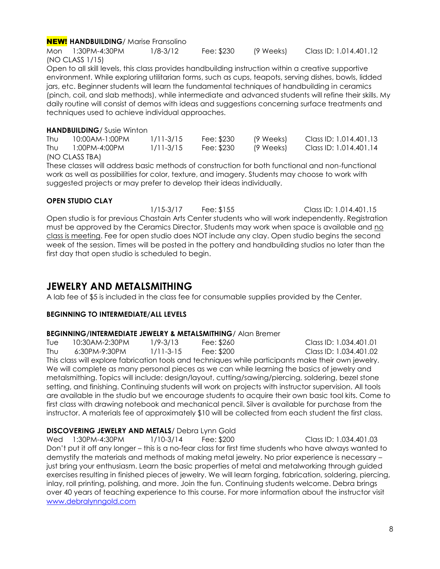#### NEW! **HANDBUILDING**/ Marise Fransolino

Mon 1:30PM-4:30PM 1/8-3/12 Fee: \$230 (9 Weeks) Class ID: 1.014.401.12 (NO CLASS 1/15)

Open to all skill levels, this class provides handbuilding instruction within a creative supportive environment. While exploring utilitarian forms, such as cups, teapots, serving dishes, bowls, lidded jars, etc. Beginner students will learn the fundamental techniques of handbuilding in ceramics (pinch, coil, and slab methods), while intermediate and advanced students will refine their skills. My daily routine will consist of demos with ideas and suggestions concerning surface treatments and techniques used to achieve individual approaches.

#### **HANDBUILDING**/ Susie Winton

| Thu | 10:00AM-1:00PM | $1/11 - 3/15$ | Fee: \$230 | (9 Weeks) | Class ID: 1.014.401.13 |
|-----|----------------|---------------|------------|-----------|------------------------|
| Thu | 1:00PM-4:00PM  | 1/11-3/15     | Fee: \$230 | (9 Weeks) | Class ID: 1.014.401.14 |
|     | (NO CLASS TBA) |               |            |           |                        |

These classes will address basic methods of construction for both functional and non-functional work as well as possibilities for color, texture, and imagery. Students may choose to work with suggested projects or may prefer to develop their ideas individually.

#### **OPEN STUDIO CLAY**

1/15-3/17 Fee: \$155 Class ID: 1.014.401.15 Open studio is for previous Chastain Arts Center students who will work independently. Registration must be approved by the Ceramics Director. Students may work when space is available and no class is meeting. Fee for open studio does NOT include any clay. Open studio begins the second week of the session. Times will be posted in the pottery and handbuilding studios no later than the first day that open studio is scheduled to begin.

## **JEWELRY AND METALSMITHING**

A lab fee of \$5 is included in the class fee for consumable supplies provided by the Center.

#### **BEGINNING TO INTERMEDIATE/ALL LEVELS**

#### **BEGINNING/INTERMEDIATE JEWELRY & METALSMITHING**/ Alan Bremer

Tue 10:30AM-2:30PM 1/9-3/13 Fee: \$260 Class ID: 1.034.401.01 Thu 6:30PM-9:30PM 1/11-3-15 Fee: \$200 Class ID: 1.034.401.02 This class will explore fabrication tools and techniques while participants make their own jewelry. We will complete as many personal pieces as we can while learning the basics of jewelry and metalsmithing. Topics will include: design/layout, cutting/sawing/piercing, soldering, bezel stone setting, and finishing. Continuing students will work on projects with instructor supervision. All tools are available in the studio but we encourage students to acquire their own basic tool kits. Come to first class with drawing notebook and mechanical pencil. Silver is available for purchase from the instructor. A materials fee of approximately \$10 will be collected from each student the first class.

#### **DISCOVERING JEWELRY AND METALS**/ Debra Lynn Gold

Wed 1:30PM-4:30PM 1/10-3/14 Fee: \$200 Class ID: 1.034.401.03 Don't put it off any longer – this is a no-fear class for first time students who have always wanted to demystify the materials and methods of making metal jewelry. No prior experience is necessary – just bring your enthusiasm. Learn the basic properties of metal and metalworking through guided exercises resulting in finished pieces of jewelry. We will learn forging, fabrication, soldering, piercing, inlay, roll printing, polishing, and more. Join the fun. Continuing students welcome. Debra brings over 40 years of teaching experience to this course. For more information about the instructor visit [www.debralynngold.com](http://www.debralynngold.com/)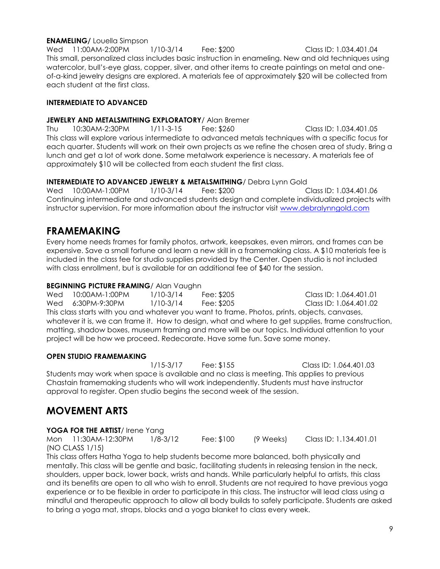#### **ENAMELING/** Louella Simpson

Wed 11:00AM-2:00PM 1/10-3/14 Fee: \$200 Class ID: 1.034.401.04 This small, personalized class includes basic instruction in enameling. New and old techniques using watercolor, bull's-eye glass, copper, silver, and other items to create paintings on metal and oneof-a-kind jewelry designs are explored. A materials fee of approximately \$20 will be collected from each student at the first class.

#### **INTERMEDIATE TO ADVANCED**

#### **JEWELRY AND METALSMITHING EXPLORATORY**/ Alan Bremer

Thu 10:30AM-2:30PM 1/11-3-15 Fee: \$260 Class ID: 1.034.401.05 This class will explore various intermediate to advanced metals techniques with a specific focus for each quarter. Students will work on their own projects as we refine the chosen area of study. Bring a lunch and get a lot of work done. Some metalwork experience is necessary. A materials fee of approximately \$10 will be collected from each student the first class.

#### **INTERMEDIATE TO ADVANCED JEWELRY & METALSMITHING**/ Debra Lynn Gold

Wed 10:00AM-1:00PM 1/10-3/14 Fee: \$200 Class ID: 1.034.401.06 Continuing intermediate and advanced students design and complete individualized projects with instructor supervision. For more information about the instructor visit [www.debralynngold.com](http://www.debralynngold.com/)

## **FRAMEMAKING**

Every home needs frames for family photos, artwork, keepsakes, even mirrors, and frames can be expensive. Save a small fortune and learn a new skill in a framemaking class. A \$10 materials fee is included in the class fee for studio supplies provided by the Center. Open studio is not included with class enrollment, but is available for an additional fee of \$40 for the session.

#### **BEGINNING PICTURE FRAMING**/ Alan Vaughn

Wed 10:00AM-1:00PM 1/10-3/14 Fee: \$205 Class ID: 1.064.401.01 Wed 6:30PM-9:30PM 1/10-3/14 Fee: \$205 Class ID: 1.064.401.02 This class starts with you and whatever you want to frame. Photos, prints, objects, canvases, whatever it is, we can frame it. How to design, what and where to get supplies, frame construction, matting, shadow boxes, museum framing and more will be our topics. Individual attention to your project will be how we proceed. Redecorate. Have some fun. Save some money.

#### **OPEN STUDIO FRAMEMAKING**

1/15-3/17 Fee: \$155 Class ID: 1.064.401.03 Students may work when space is available and no class is meeting. This applies to previous Chastain framemaking students who will work independently. Students must have instructor approval to register. Open studio begins the second week of the session.

## **MOVEMENT ARTS**

#### **YOGA FOR THE ARTIST**/ Irene Yang

Mon 11:30AM-12:30PM 1/8-3/12 Fee: \$100 (9 Weeks) Class ID: 1.134.401.01 (NO CLASS 1/15)

This class offers Hatha Yoga to help students become more balanced, both physically and mentally. This class will be gentle and basic, facilitating students in releasing tension in the neck, shoulders, upper back, lower back, wrists and hands. While particularly helpful to artists, this class and its benefits are open to all who wish to enroll. Students are not required to have previous yoga experience or to be flexible in order to participate in this class. The instructor will lead class using a mindful and therapeutic approach to allow all body builds to safely participate. Students are asked to bring a yoga mat, straps, blocks and a yoga blanket to class every week.